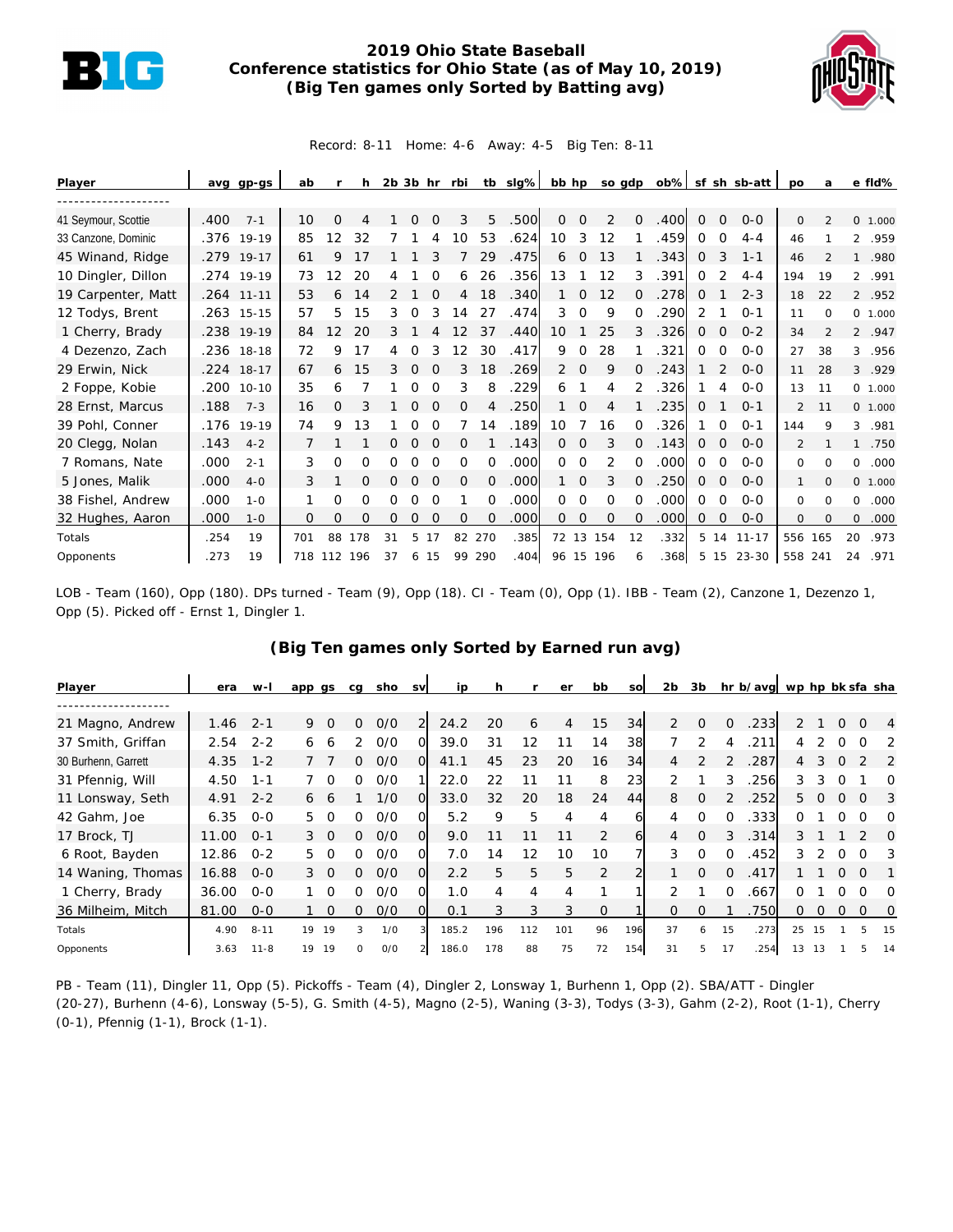

## **2019 Ohio State Baseball Conference statistics for Ohio State (as of May 10, 2019) (Big Ten games only Sorted by Batting avg)**



Record: 8-11 Home: 4-6 Away: 4-5 Big Ten: 8-11

| Player              |      | avg gp-gs    | ab  |          | h   |          | $2b$ $3b$ hr |          | rbi      |          | tb sig% | bb hp          |             | so gdp      |          | ob%  |             |                | sf sh sb-att | po           | a              |              | e fld%   |
|---------------------|------|--------------|-----|----------|-----|----------|--------------|----------|----------|----------|---------|----------------|-------------|-------------|----------|------|-------------|----------------|--------------|--------------|----------------|--------------|----------|
|                     |      |              |     |          |     |          |              |          |          |          |         |                |             |             |          |      |             |                |              |              |                |              |          |
| 41 Seymour, Scottie | .400 | $7 - 1$      | 10  | Ω        |     |          |              |          | 3        | 5        | .500    | 0              | $\Omega$    | 2           | $\Omega$ | .400 | $\Omega$    | $\Omega$       | $O - O$      | $\Omega$     | $\mathcal{P}$  |              | 0, 1,000 |
| 33 Canzone, Dominic |      | .376 19-19   | 85  | 12       | 32  |          |              |          | 10       | 53       | .624    | 10             | 3           | 12          |          | .459 | 0           | $\Omega$       | $4 - 4$      | 46           |                |              | 2 .959   |
| 45 Winand, Ridge    | .279 | $19 - 17$    | 61  | 9        |     |          |              |          |          | 29       | .475    | 6              | 0           | 13          |          | 343  | 0           | 3              | $1 - 1$      | 46           |                | $\mathbf{1}$ | .980     |
| 10 Dingler, Dillon  |      | .274 19-19   | 73  | 2        | 20  |          |              |          | 6        | 26       | .356    | 13             |             | 12          | 3        | .391 | 0           |                | $4 - 4$      | 194          | 19             |              | 2 .991   |
| 19 Carpenter, Matt  |      | .264 11-11   | 53  | 6        | 14  |          |              |          | 4        | 18       | .340    |                | 0           | 12          |          | .278 | $\mathbf 0$ |                | $2 - 3$      | 18           | 22             |              | 2 .952   |
| 12 Todys, Brent     |      | $.263$ 15-15 | 57  | 5        | 15  | 3        | 0            | 3        | 14       | 27       | .474    | 3              | $\Omega$    | 9           | $\Omega$ | .290 | 2           |                | $O - 1$      | 11           | $\Omega$       |              | 0 1.000  |
| 1 Cherry, Brady     | .238 | $19-19$      | 84  | 12       | 20  |          |              |          |          | 37       | .440    | 10             |             | 25          | 3        | 326  | 0           | $\Omega$       | $0 - 2$      | 34           | $\mathfrak{D}$ |              | 2 .947   |
| 4 Dezenzo, Zach     |      | .236 18-18   | 72  | 9        | 17  | 4        | 0            | 3        | 12       | 30       | .417    | 9              | $\Omega$    | 28          |          | .321 | 0           | $\Omega$       | $O - O$      | 27           | 38             | 3            | .956     |
| 29 Erwin, Nick      |      | .224 18-17   | 67  | 6        | 15  | 3        | $\Omega$     | $\Omega$ | 3        | 18       | .269    | $\overline{2}$ | $\mathbf 0$ | 9           |          | 243  |             |                | $O-O$        | 11           | 28             |              | 3 .929   |
| 2 Foppe, Kobie      | .200 | $10 - 10$    | 35  | 6        |     |          | O            |          | 3        | 8        | .229    | 6              |             | 4           |          | .326 |             | 4              | $O - O$      | 13           | 11             |              | 0 1.000  |
| 28 Ernst, Marcus    | .188 | $7 - 3$      | 16  | $\Omega$ |     |          | $\Omega$     |          | O        | 4        | .250    |                | 0           | 4           |          | 235  | 0           |                | $O - 1$      | 2            | 11             |              | 0 1.000  |
| 39 Pohl, Conner     | .176 | 19-19        | 74  | 9        | 13  |          | O            |          |          | 14       | .189    | 10             |             | 16          |          | 326  |             | ∩              | $0 - 1$      | 144          | 9              | 3            | .981     |
| 20 Clegg, Nolan     | .143 | $4 - 2$      |     |          |     | Ω        | $\Omega$     |          | 0        |          | .143    | 0              | 0           | 3           |          | .143 | 0           | $\Omega$       | $O - O$      | 2            |                |              | .750     |
| 7 Romans, Nate      | .000 | $2 - 1$      | 3   | $\Omega$ | 0   | Ω        | O            |          | $\Omega$ | 0        | .000    | $\Omega$       | $\Omega$    | 2           |          | .000 | $\Omega$    | $\Omega$       | $O-O$        | $\Omega$     | <sup>o</sup>   | 0            | .000     |
| 5 Jones, Malik      | .000 | $4 - 0$      | 3   |          | O   | $\Omega$ | 0            |          | $\Omega$ | $\Omega$ | .000    | 1.             | 0           | 3           |          | 250  | 0           | $\Omega$       | $O - O$      |              | $\Omega$       |              | 0, 1,000 |
| 38 Fishel, Andrew   | .000 | $1 - 0$      |     | Ω        | 0   | 0        | O            |          |          | 0        | .000    | 0              | $\Omega$    | 0           |          | .000 | 0           | $\Omega$       | $O-O$        | $\Omega$     | $\Omega$       | 0            | .000     |
| 32 Hughes, Aaron    | .000 | $1 - 0$      | 0   | 0        | 0   | 0        | 0            | $\Omega$ | $\Omega$ | $\Omega$ | .000    | $\overline{0}$ | 0           | $\mathbf 0$ | $\Omega$ | .000 | 0           | $\overline{O}$ | $0 - 0$      | $\mathbf{O}$ | 0              | 0            | .000     |
| Totals              | .254 | 19           | 701 | 88       | 178 | 31       | 5.           | 17       | 82       | 270      | .385    | 72 13          |             | 154         | 12       | .332 | 5           | 14             | $11 - 17$    | 556 165      |                | 20           | .973     |
| Opponents           | .273 | 19           | 718 | 112 196  |     | 37       | 6            | 15       | 99       | 290      | .404    |                |             | 96 15 196   | 6        | .368 | 5           | 15             | 23-30        | 558 241      |                | 24           | .971     |

LOB - Team (160), Opp (180). DPs turned - Team (9), Opp (18). CI - Team (0), Opp (1). IBB - Team (2), Canzone 1, Dezenzo 1, Opp (5). Picked off - Ernst 1, Dingler 1.

| Player              | era   | w-l      | app gs |          | cg            | sho | <b>SV</b> | ip    | h   |     | er  | bb            | SO  | 2 <sub>b</sub> | 3b            |          | hr b/avg wp hp bk sfa sha |               |               |              |          |          |
|---------------------|-------|----------|--------|----------|---------------|-----|-----------|-------|-----|-----|-----|---------------|-----|----------------|---------------|----------|---------------------------|---------------|---------------|--------------|----------|----------|
|                     |       |          |        |          |               |     |           |       |     |     |     |               |     |                |               |          |                           |               |               |              |          |          |
| 21 Magno, Andrew    | 1.46  | $2 - 1$  | 9      | $\Omega$ | 0             | O/O | 2         | 24.2  | 20  | 6   | 4   | 15            | 34  | $\mathcal{P}$  | $\Omega$      | $\Omega$ | .233                      | $\mathcal{P}$ |               | $\Omega$     | $\Omega$ | 4        |
| 37 Smith, Griffan   | 2.54  | $2 - 2$  | 6      | 6        | $\mathcal{P}$ | O/O | 0         | 39.0  | 31  | 12  |     | 14            | 38  |                | $\mathcal{P}$ |          | 211                       |               |               |              |          |          |
| 30 Burhenn, Garrett | 4.35  | $1 - 2$  |        |          | 0             | O/O | $\Omega$  | 41.1  | 45  | 23  | 20  | 16            | 34  | 4              |               |          | 287                       | 4             | 3             |              |          | 2        |
| 31 Pfennig, Will    | 4.50  | $1 - 1$  |        | $\Omega$ | 0             | O/O | 1         | 22.0  | 22  | 11  |     | 8             | 23  | $\mathcal{P}$  |               | 3        | 256                       | 3             | 3             |              |          | Ω        |
| 11 Lonsway, Seth    | 4.91  | $2 - 2$  | 6      | 6        |               | 1/0 | $\Omega$  | 33.0  | 32  | 20  | 18  | 24            | 44  | 8              | 0             |          | 252                       | 5.            | $\Omega$      | $\Omega$     | $\Omega$ | 3        |
| 42 Gahm, Joe        | 6.35  | $O - O$  | 5.     | $\Omega$ | ∩             | O/O | O         | 5.2   | 9   | 5   | 4   | 4             | 6   | 4              | 0             | 0        | .333                      | 0             |               |              |          | $\Omega$ |
| 17 Brock, TJ        | 11.00 | $O - 1$  | 3.     | $\Omega$ | 0             | O/O | $\Omega$  | 9.0   |     |     |     | 2             | 61  | 4              | $\Omega$      | 3        | .314                      | 3             |               |              |          | ∩        |
| 6 Root, Bayden      | 12.86 | $0 - 2$  | 5      | - റ      | ∩             | 0/0 | O         | 7.0   | 14  | 12  | 10  | 10            |     | 3              | $\Omega$      | O        | .452                      | 3             | $\mathcal{P}$ | $\Omega$     | ∩        | 3        |
| 14 Waning, Thomas   | 16.88 | $O - O$  | 3 0    |          | 0             | O/O | $\Omega$  | 2.2   | 5   | 5   | 5   | 2             |     |                | $\Omega$      | $\Omega$ | .417                      |               |               | O.           | $\Omega$ |          |
| 1 Cherry, Brady     | 36.00 | $O - O$  |        | $\Omega$ | 0             | O/O | O         | 1.0   | 4   | 4   | 4   |               |     |                |               | $\Omega$ | .667                      | 0             |               | O.           | ∩        | $\Omega$ |
| 36 Milheim, Mitch   | 81.00 | $0 - 0$  |        | $\Omega$ | 0             | O/O | Ω         | 0.1   | 3   | 3   | 3   | $\mathcal{O}$ |     | 0              | $\Omega$      |          | .750                      | 0             | 0             | $\mathbf{0}$ | $\Omega$ | 0        |
| Totals              | 4.90  | $8 - 11$ | 19     | 19       | 3             | 1/0 |           | 185.2 | 196 | 112 | 101 | 96            | 196 | 37             | 6             | 15       | .273                      | 25            | 15            |              | 5        | 15       |
| Opponents           | 3.63  | $11 - 8$ | 19     | 19       |               | O/O |           | 186.0 | 178 | 88  | 75  | 72            | 154 | 31             | 5             | 17       | .254                      | 13            | 13            |              |          | 14       |

## **(Big Ten games only Sorted by Earned run avg)**

PB - Team (11), Dingler 11, Opp (5). Pickoffs - Team (4), Dingler 2, Lonsway 1, Burhenn 1, Opp (2). SBA/ATT - Dingler (20-27), Burhenn (4-6), Lonsway (5-5), G. Smith (4-5), Magno (2-5), Waning (3-3), Todys (3-3), Gahm (2-2), Root (1-1), Cherry (0-1), Pfennig (1-1), Brock (1-1).